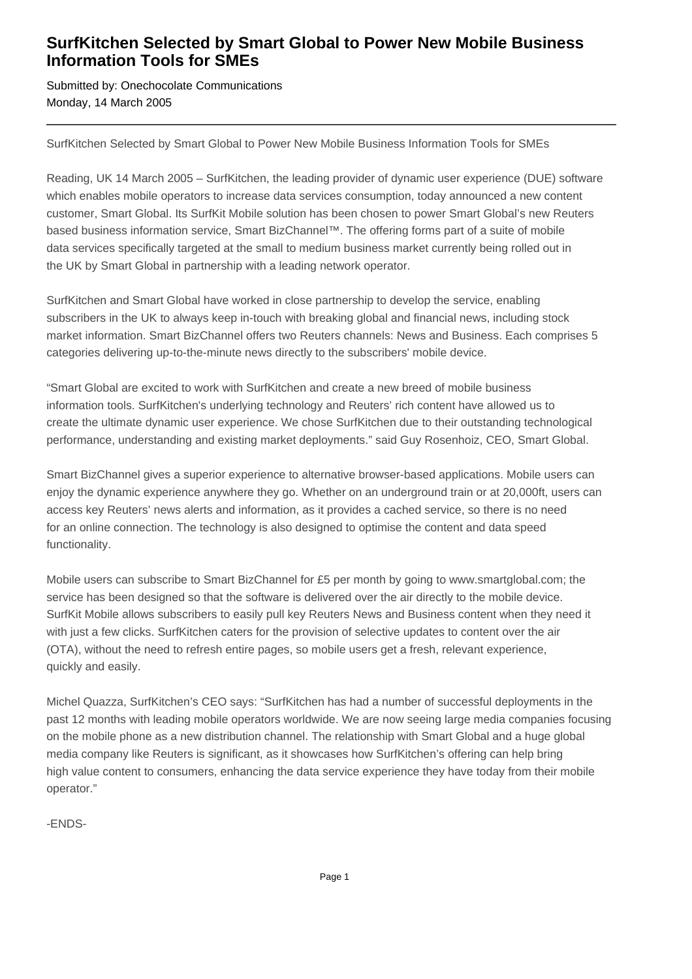## **SurfKitchen Selected by Smart Global to Power New Mobile Business Information Tools for SMEs**

Submitted by: Onechocolate Communications Monday, 14 March 2005

SurfKitchen Selected by Smart Global to Power New Mobile Business Information Tools for SMEs

Reading, UK 14 March 2005 – SurfKitchen, the leading provider of dynamic user experience (DUE) software which enables mobile operators to increase data services consumption, today announced a new content customer, Smart Global. Its SurfKit Mobile solution has been chosen to power Smart Global's new Reuters based business information service, Smart BizChannel™. The offering forms part of a suite of mobile data services specifically targeted at the small to medium business market currently being rolled out in the UK by Smart Global in partnership with a leading network operator.

SurfKitchen and Smart Global have worked in close partnership to develop the service, enabling subscribers in the UK to always keep in-touch with breaking global and financial news, including stock market information. Smart BizChannel offers two Reuters channels: News and Business. Each comprises 5 categories delivering up-to-the-minute news directly to the subscribers' mobile device.

"Smart Global are excited to work with SurfKitchen and create a new breed of mobile business information tools. SurfKitchen's underlying technology and Reuters' rich content have allowed us to create the ultimate dynamic user experience. We chose SurfKitchen due to their outstanding technological performance, understanding and existing market deployments." said Guy Rosenhoiz, CEO, Smart Global.

Smart BizChannel gives a superior experience to alternative browser-based applications. Mobile users can enjoy the dynamic experience anywhere they go. Whether on an underground train or at 20,000ft, users can access key Reuters' news alerts and information, as it provides a cached service, so there is no need for an online connection. The technology is also designed to optimise the content and data speed functionality.

Mobile users can subscribe to Smart BizChannel for £5 per month by going to www.smartglobal.com; the service has been designed so that the software is delivered over the air directly to the mobile device. SurfKit Mobile allows subscribers to easily pull key Reuters News and Business content when they need it with just a few clicks. SurfKitchen caters for the provision of selective updates to content over the air (OTA), without the need to refresh entire pages, so mobile users get a fresh, relevant experience, quickly and easily.

Michel Quazza, SurfKitchen's CEO says: "SurfKitchen has had a number of successful deployments in the past 12 months with leading mobile operators worldwide. We are now seeing large media companies focusing on the mobile phone as a new distribution channel. The relationship with Smart Global and a huge global media company like Reuters is significant, as it showcases how SurfKitchen's offering can help bring high value content to consumers, enhancing the data service experience they have today from their mobile operator."

-ENDS-